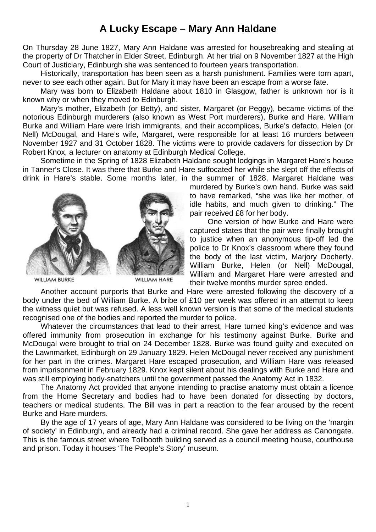## **A Lucky Escape – Mary Ann Haldane**

On Thursday 28 June 1827, Mary Ann Haldane was arrested for housebreaking and stealing at the property of Dr Thatcher in Elder Street, Edinburgh. At her trial on 9 November 1827 at the High Court of Justiciary, Edinburgh she was sentenced to fourteen years transportation.

Historically, transportation has been seen as a harsh punishment. Families were torn apart, never to see each other again. But for Mary it may have been an escape from a worse fate.

Mary was born to Elizabeth Haldane about 1810 in Glasgow, father is unknown nor is it known why or when they moved to Edinburgh.

Mary's mother, Elizabeth (or Betty), and sister, Margaret (or Peggy), became victims of the notorious Edinburgh murderers (also known as West Port murderers), Burke and Hare. William Burke and William Hare were Irish immigrants, and their accomplices, Burke's defacto, Helen (or Nell) McDougal, and Hare's wife, Margaret, were responsible for at least 16 murders between November 1927 and 31 October 1828. The victims were to provide cadavers for dissection by Dr Robert Knox, a lecturer on anatomy at Edinburgh Medical College.

Sometime in the Spring of 1828 Elizabeth Haldane sought lodgings in Margaret Hare's house in Tanner's Close. It was there that Burke and Hare suffocated her while she slept off the effects of drink in Hare's stable. Some months later, in the summer of 1828, Margaret Haldane was



murdered by Burke's own hand. Burke was said to have remarked, "she was like her mother, of idle habits, and much given to drinking." The pair received £8 for her body.

One version of how Burke and Hare were captured states that the pair were finally brought to justice when an anonymous tip-off led the police to Dr Knox's classroom where they found the body of the last victim, Marjory Docherty. William Burke, Helen (or Nell) McDougal, William and Margaret Hare were arrested and their twelve months murder spree ended.

Another account purports that Burke and Hare were arrested following the discovery of a body under the bed of William Burke. A bribe of £10 per week was offered in an attempt to keep the witness quiet but was refused. A less well known version is that some of the medical students recognised one of the bodies and reported the murder to police.

Whatever the circumstances that lead to their arrest, Hare turned king's evidence and was offered immunity from prosecution in exchange for his testimony against Burke. Burke and McDougal were brought to trial on 24 December 1828. Burke was found guilty and executed on the Lawnmarket, Edinburgh on 29 January 1829. Helen McDougal never received any punishment for her part in the crimes. Margaret Hare escaped prosecution, and William Hare was released from imprisonment in February 1829. Knox kept silent about his dealings with Burke and Hare and was still employing body-snatchers until the government passed the Anatomy Act in 1832.

The Anatomy Act provided that anyone intending to practise anatomy must obtain a licence from the Home Secretary and bodies had to have been donated for dissecting by doctors, teachers or medical students. The Bill was in part a reaction to the fear aroused by the recent Burke and Hare murders.

By the age of 17 years of age, Mary Ann Haldane was considered to be living on the 'margin of society' in Edinburgh, and already had a criminal record. She gave her address as Canongate. This is the famous street where Tollbooth building served as a council meeting house, courthouse and prison. Today it houses 'The People's Story' museum.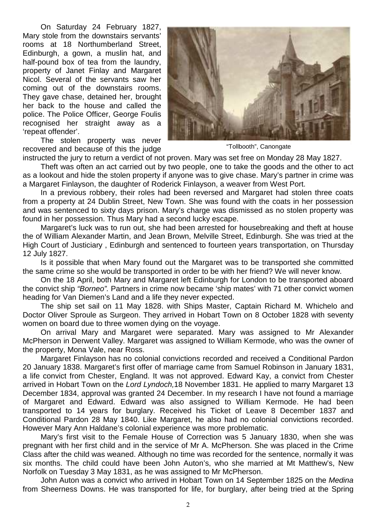On Saturday 24 February 1827, Mary stole from the downstairs servants' rooms at 18 Northumberland Street, Edinburgh, a gown, a muslin hat, and half-pound box of tea from the laundry, property of Janet Finlay and Margaret Nicol. Several of the servants saw her coming out of the downstairs rooms. They gave chase, detained her, brought her back to the house and called the police. The Police Officer, George Foulis recognised her straight away as a 'repeat offender'.

The stolen property was never recovered and because of this the judge



"Tollbooth", Canongate

instructed the jury to return a verdict of not proven. Mary was set free on Monday 28 May 1827. Theft was often an act carried out by two people, one to take the goods and the other to act as a lookout and hide the stolen property if anyone was to give chase. Mary's partner in crime was a Margaret Finlayson, the daughter of Roderick Finlayson, a weaver from West Port.

In a previous robbery, their roles had been reversed and Margaret had stolen three coats from a property at 24 Dublin Street, New Town. She was found with the coats in her possession and was sentenced to sixty days prison. Mary's charge was dismissed as no stolen property was found in her possession. Thus Mary had a second lucky escape.

Margaret's luck was to run out, she had been arrested for housebreaking and theft at house the of William Alexander Martin, and Jean Brown, Melville Street, Edinburgh. She was tried at the High Court of Justiciary , Edinburgh and sentenced to fourteen years transportation, on Thursday 12 July 1827.

Is it possible that when Mary found out the Margaret was to be transported she committed the same crime so she would be transported in order to be with her friend? We will never know.

On the 18 April, both Mary and Margaret left Edinburgh for London to be transported aboard the convict ship "Borneo". Partners in crime now became 'ship mates' with 71 other convict women heading for Van Diemen's Land and a life they never expected.

The ship set sail on 11 May 1828. with Ships Master, Captain Richard M. Whichelo and Doctor Oliver Sproule as Surgeon. They arrived in Hobart Town on 8 October 1828 with seventy women on board due to three women dying on the voyage.

On arrival Mary and Margaret were separated. Mary was assigned to Mr Alexander McPherson in Derwent Valley. Margaret was assigned to William Kermode, who was the owner of the property, Mona Vale, near Ross.

Margaret Finlayson has no colonial convictions recorded and received a Conditional Pardon 20 January 1838. Margaret's first offer of marriage came from Samuel Robinson in January 1831, a life convict from Chester, England. It was not approved. Edward Kay, a convict from Chester arrived in Hobart Town on the Lord Lyndoch,18 November 1831. He applied to marry Margaret 13 December 1834, approval was granted 24 December. In my research I have not found a marriage of Margaret and Edward. Edward was also assigned to William Kermode. He had been transported to 14 years for burglary. Received his Ticket of Leave 8 December 1837 and Conditional Pardon 28 May 1840. Like Margaret, he also had no colonial convictions recorded. However Mary Ann Haldane's colonial experience was more problematic.

Mary's first visit to the Female House of Correction was 5 January 1830, when she was pregnant with her first child and in the service of Mr A. McPherson. She was placed in the Crime Class after the child was weaned. Although no time was recorded for the sentence, normally it was six months. The child could have been John Auton's, who she married at Mt Matthew's, New Norfolk on Tuesday 3 May 1831, as he was assigned to Mr McPherson.

John Auton was a convict who arrived in Hobart Town on 14 September 1825 on the Medina from Sheerness Downs. He was transported for life, for burglary, after being tried at the Spring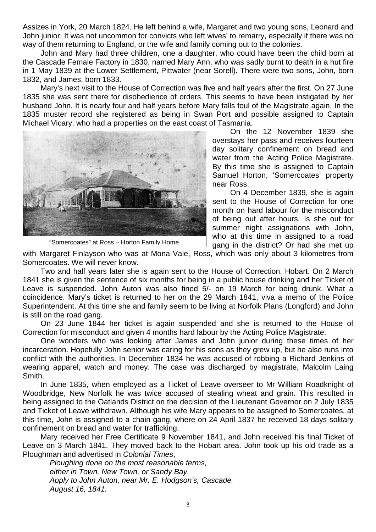Assizes in York, 20 March 1824. He left behind a wife, Margaret and two young sons, Leonard and John junior. It was not uncommon for convicts who left wives' to remarry, especially if there was no way of them returning to England, or the wife and family coming out to the colonies.

John and Mary had three children, one a daughter, who could have been the child born at the Cascade Female Factory in 1830, named Mary Ann, who was sadly burnt to death in a hut fire in 1 May 1839 at the Lower Settlement, Pittwater (near Sorell). There were two sons, John, born 1832, and James, born 1833.

Mary's next visit to the House of Correction was five and half years after the first. On 27 June 1835 she was sent there for disobedience of orders. This seems to have been instigated by her husband John. It is nearly four and half years before Mary falls foul of the Magistrate again. In the 1835 muster record she registered as being in Swan Port and possible assigned to Captain Michael Vicary, who had a properties on the east coast of Tasmania.



"Somercoates" at Ross – Horton Family Home

On the 12 November 1839 she overstays her pass and receives fourteen day solitary confinement on bread and water from the Acting Police Magistrate. By this time she is assigned to Captain Samuel Horton, 'Somercoates' property near Ross.

On 4 December 1839, she is again sent to the House of Correction for one month on hard labour for the misconduct of being out after hours. Is she out for summer night assignations with John, who at this time in assigned to a road gang in the district? Or had she met up

with Margaret Finlayson who was at Mona Vale, Ross, which was only about 3 kilometres from Somercoates. We will never know.

Two and half years later she is again sent to the House of Correction, Hobart. On 2 March 1841 she is given the sentence of six months for being in a public house drinking and her Ticket of Leave is suspended. John Auton was also fined 5/- on 19 March for being drunk. What a coincidence. Mary's ticket is returned to her on the 29 March 1841, viva a memo of the Police Superintendent. At this time she and family seem to be living at Norfolk Plans (Longford) and John is still on the road gang.

On 23 June 1844 her ticket is again suspended and she is returned to the House of Correction for misconduct and given 4 months hard labour by the Acting Police Magistrate.

One wonders who was looking after James and John junior during these times of her incarceration. Hopefully John senior was caring for his sons as they grew up, but he also runs into conflict with the authorities. In December 1834 he was accused of robbing a Richard Jenkins of wearing apparel, watch and money. The case was discharged by magistrate, Malcolm Laing Smith.

In June 1835, when employed as a Ticket of Leave overseer to Mr William Roadknight of Woodbridge, New Norfolk he was twice accused of stealing wheat and grain. This resulted in being assigned to the Oatlands District on the decision of the Lieutenant Governor on 2 July 1835 and Ticket of Leave withdrawn. Although his wife Mary appears to be assigned to Somercoates, at this time, John is assigned to a chain gang, where on 24 April 1837 he received 18 days solitary confinement on bread and water for trafficking.

Mary received her Free Certificate 9 November 1841, and John received his final Ticket of Leave on 3 March 1841. They moved back to the Hobart area. John took up his old trade as a Ploughman and advertised in Colonial Times,

Ploughing done on the most reasonable terms, either in Town, New Town, or Sandy Bay. Apply to John Auton, near Mr. E. Hodgson's, Cascade. August 16, 1841.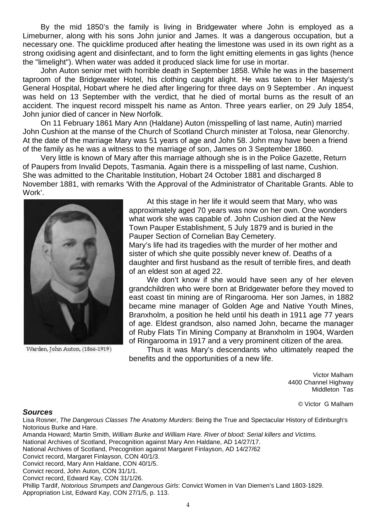By the mid 1850's the family is living in Bridgewater where John is employed as a Limeburner, along with his sons John junior and James. It was a dangerous occupation, but a necessary one. The quicklime produced after heating the limestone was used in its own right as a strong oxidising agent and disinfectant, and to form the light emitting elements in gas lights (hence the "limelight"). When water was added it produced slack lime for use in mortar.

John Auton senior met with horrible death in September 1858. While he was in the basement taproom of the Bridgewater Hotel, his clothing caught alight. He was taken to Her Majesty's General Hospital, Hobart where he died after lingering for three days on 9 September . An inquest was held on 13 September with the verdict, that he died of mortal burns as the result of an accident. The inquest record misspelt his name as Anton. Three years earlier, on 29 July 1854, John junior died of cancer in New Norfolk.

On 11 February 1861 Mary Ann (Haldane) Auton (misspelling of last name, Autin) married John Cushion at the manse of the Church of Scotland Church minister at Tolosa, near Glenorchy. At the date of the marriage Mary was 51 years of age and John 58. John may have been a friend of the family as he was a witness to the marriage of son, James on 3 September 1860.

Very little is known of Mary after this marriage although she is in the Police Gazette, Return of Paupers from Invalid Depots, Tasmania. Again there is a misspelling of last name, Cushion. She was admitted to the Charitable Institution, Hobart 24 October 1881 and discharged 8 November 1881, with remarks 'With the Approval of the Administrator of Charitable Grants. Able to Work'.



Warden, John Auton, (1866-1919)

At this stage in her life it would seem that Mary, who was approximately aged 70 years was now on her own. One wonders what work she was capable of. John Cushion died at the New Town Pauper Establishment, 5 July 1879 and is buried in the Pauper Section of Cornelian Bay Cemetery.

Mary's life had its tragedies with the murder of her mother and sister of which she quite possibly never knew of. Deaths of a daughter and first husband as the result of terrible fires, and death of an eldest son at aged 22.

We don't know if she would have seen any of her eleven grandchildren who were born at Bridgewater before they moved to east coast tin mining are of Ringarooma. Her son James, in 1882 became mine manager of Golden Age and Native Youth Mines, Branxholm, a position he held until his death in 1911 age 77 years of age. Eldest grandson, also named John, became the manager of Ruby Flats Tin Mining Company at Branxholm in 1904, Warden of Ringarooma in 1917 and a very prominent citizen of the area.

Thus it was Mary's descendants who ultimately reaped the benefits and the opportunities of a new life.

> Victor Malham 4400 Channel Highway Middleton Tas

> > © Victor G Malham

## **Sources**

Lisa Rosner, The Dangerous Classes The Anatomy Murders: Being the True and Spectacular History of Edinburgh's Notorious Burke and Hare. Amanda Howard; Martin Smith, William Burke and William Hare. River of blood: Serial killers and Victims.

National Archives of Scotland, Precognition against Mary Ann Haldane, AD 14/27/17.

National Archives of Scotland, Precognition against Margaret Finlayson, AD 14/27/62

Convict record, Margaret Finlayson, CON 40/1/3.

Convict record, Mary Ann Haldane, CON 40/1/5.

Convict record, John Auton, CON 31/1/1.

Convict record, Edward Kay, CON 31/1/26.

Phillip Tardif, Notorious Strumpets and Dangerous Girls: Convict Women in Van Diemen's Land 1803-1829. Appropriation List, Edward Kay, CON 27/1/5, p. 113.